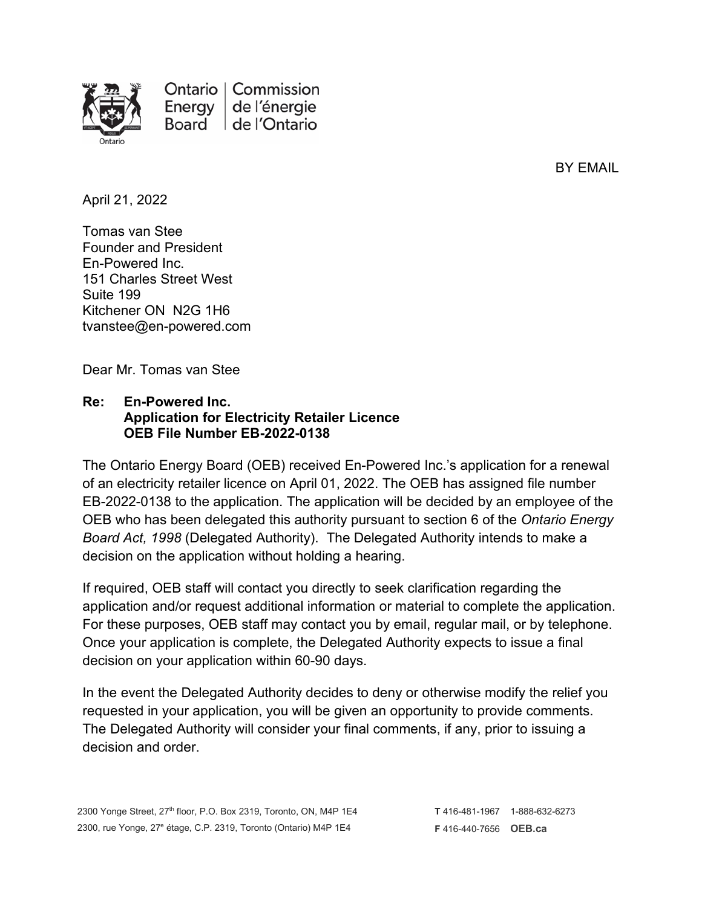

Ontario | Commission Energy de l'énergie Board de l'Ontario

BY EMAIL

April 21, 2022

Tomas van Stee Founder and President En-Powered Inc. 151 Charles Street West Suite 199 Kitchener ON N2G 1H6 tvanstee@en-powered.com

Dear Mr. Tomas van Stee

## **Re: En-Powered Inc. Application for Electricity Retailer Licence OEB File Number EB-2022-0138**

The Ontario Energy Board (OEB) received En-Powered Inc.'s application for a renewal of an electricity retailer licence on April 01, 2022. The OEB has assigned file number EB-2022-0138 to the application. The application will be decided by an employee of the OEB who has been delegated this authority pursuant to section 6 of the *Ontario Energy Board Act, 1998* (Delegated Authority). The Delegated Authority intends to make a decision on the application without holding a hearing.

If required, OEB staff will contact you directly to seek clarification regarding the application and/or request additional information or material to complete the application. For these purposes, OEB staff may contact you by email, regular mail, or by telephone. Once your application is complete, the Delegated Authority expects to issue a final decision on your application within 60-90 days.

In the event the Delegated Authority decides to deny or otherwise modify the relief you requested in your application, you will be given an opportunity to provide comments. The Delegated Authority will consider your final comments, if any, prior to issuing a decision and order.